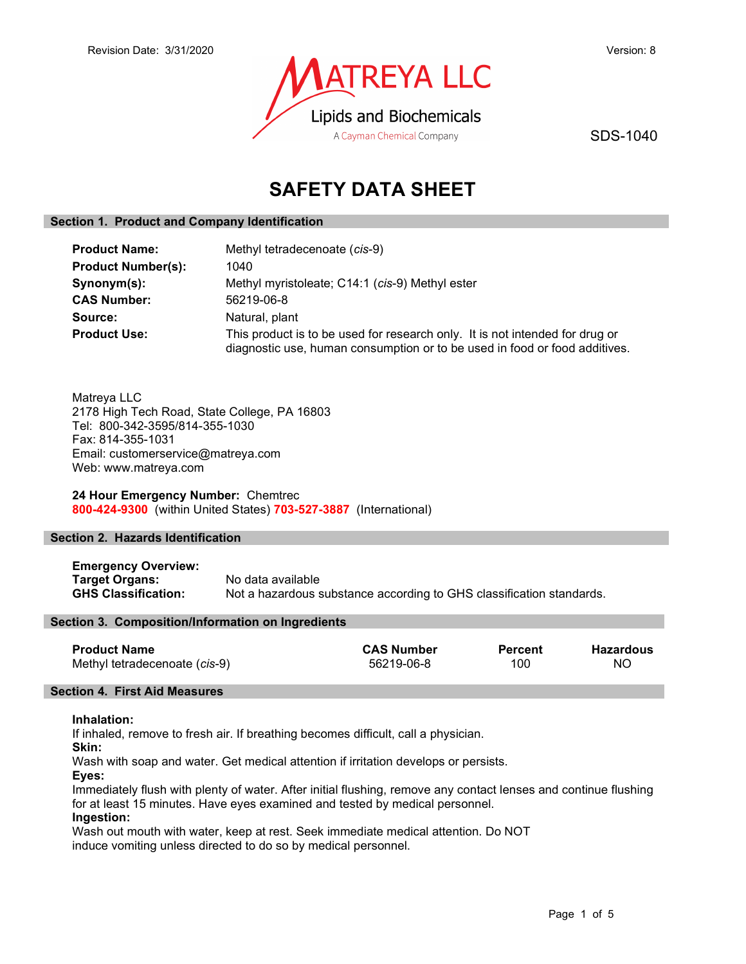

SDS-1040

# SAFETY DATA SHEET

## Section 1. Product and Company Identification

| <b>Product Name:</b>      | Methyl tetradecenoate (cis-9)                                                                                                                              |  |
|---------------------------|------------------------------------------------------------------------------------------------------------------------------------------------------------|--|
| <b>Product Number(s):</b> | 1040                                                                                                                                                       |  |
| Synonym(s):               | Methyl myristoleate; C14:1 (cis-9) Methyl ester                                                                                                            |  |
| <b>CAS Number:</b>        | 56219-06-8                                                                                                                                                 |  |
| Source:                   | Natural, plant                                                                                                                                             |  |
| <b>Product Use:</b>       | This product is to be used for research only. It is not intended for drug or<br>diagnostic use, human consumption or to be used in food or food additives. |  |

Matreya LLC 2178 High Tech Road, State College, PA 16803 Tel: 800-342-3595/814-355-1030 Fax: 814-355-1031 Email: customerservice@matreya.com Web: www.matreya.com

24 Hour Emergency Number: Chemtrec 800-424-9300 (within United States) 703-527-3887 (International)

## Section 2. Hazards Identification

Emergency Overview: Target Organs: No data available GHS Classification: Not a hazardous substance according to GHS classification standards.

## Section 3. Composition/Information on Ingredients

| <b>Product Name</b>           | <b>CAS Number</b> | <b>Percent</b> | <b>Hazardous</b> |
|-------------------------------|-------------------|----------------|------------------|
| Methyl tetradecenoate (cis-9) | 56219-06-8        | 100            | ΝO               |

## Section 4. First Aid Measures

## Inhalation:

If inhaled, remove to fresh air. If breathing becomes difficult, call a physician.

Skin:

Wash with soap and water. Get medical attention if irritation develops or persists.

Eyes:

Immediately flush with plenty of water. After initial flushing, remove any contact lenses and continue flushing for at least 15 minutes. Have eyes examined and tested by medical personnel.

# Ingestion:

Wash out mouth with water, keep at rest. Seek immediate medical attention. Do NOT induce vomiting unless directed to do so by medical personnel.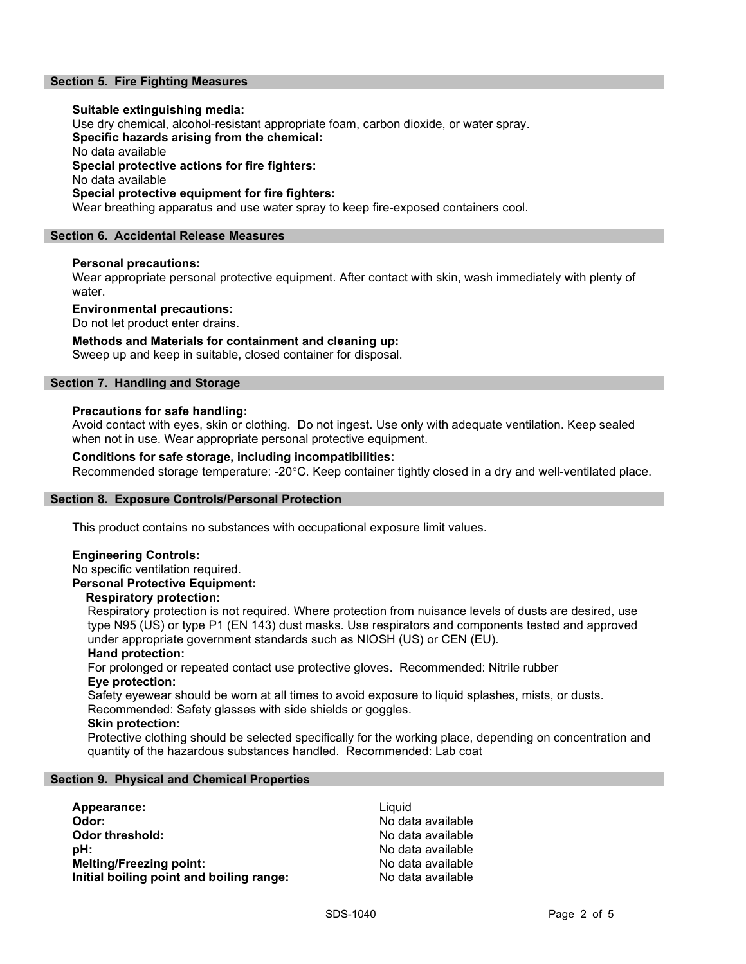# Section 5. Fire Fighting Measures

## Suitable extinguishing media:

Use dry chemical, alcohol-resistant appropriate foam, carbon dioxide, or water spray.

Specific hazards arising from the chemical:

No data available

Special protective actions for fire fighters:

No data available

## Special protective equipment for fire fighters:

Wear breathing apparatus and use water spray to keep fire-exposed containers cool.

## Section 6. Accidental Release Measures

## Personal precautions:

Wear appropriate personal protective equipment. After contact with skin, wash immediately with plenty of water.

## Environmental precautions:

Do not let product enter drains.

# Methods and Materials for containment and cleaning up:

Sweep up and keep in suitable, closed container for disposal.

## Section 7. Handling and Storage

## Precautions for safe handling:

Avoid contact with eyes, skin or clothing. Do not ingest. Use only with adequate ventilation. Keep sealed when not in use. Wear appropriate personal protective equipment.

## Conditions for safe storage, including incompatibilities:

Recommended storage temperature: -20°C. Keep container tightly closed in a dry and well-ventilated place.

## Section 8. Exposure Controls/Personal Protection

This product contains no substances with occupational exposure limit values.

## Engineering Controls:

No specific ventilation required.

# Personal Protective Equipment:

## Respiratory protection:

Respiratory protection is not required. Where protection from nuisance levels of dusts are desired, use type N95 (US) or type P1 (EN 143) dust masks. Use respirators and components tested and approved under appropriate government standards such as NIOSH (US) or CEN (EU).

## Hand protection:

For prolonged or repeated contact use protective gloves. Recommended: Nitrile rubber Eye protection:

Safety eyewear should be worn at all times to avoid exposure to liquid splashes, mists, or dusts. Recommended: Safety glasses with side shields or goggles.

# Skin protection:

Protective clothing should be selected specifically for the working place, depending on concentration and quantity of the hazardous substances handled. Recommended: Lab coat

# Section 9. Physical and Chemical Properties

| Appearance:                              | Liauid            |
|------------------------------------------|-------------------|
| Odor:                                    | No data available |
| Odor threshold:                          | No data available |
| :bH                                      | No data available |
| <b>Melting/Freezing point:</b>           | No data available |
| Initial boiling point and boiling range: | No data available |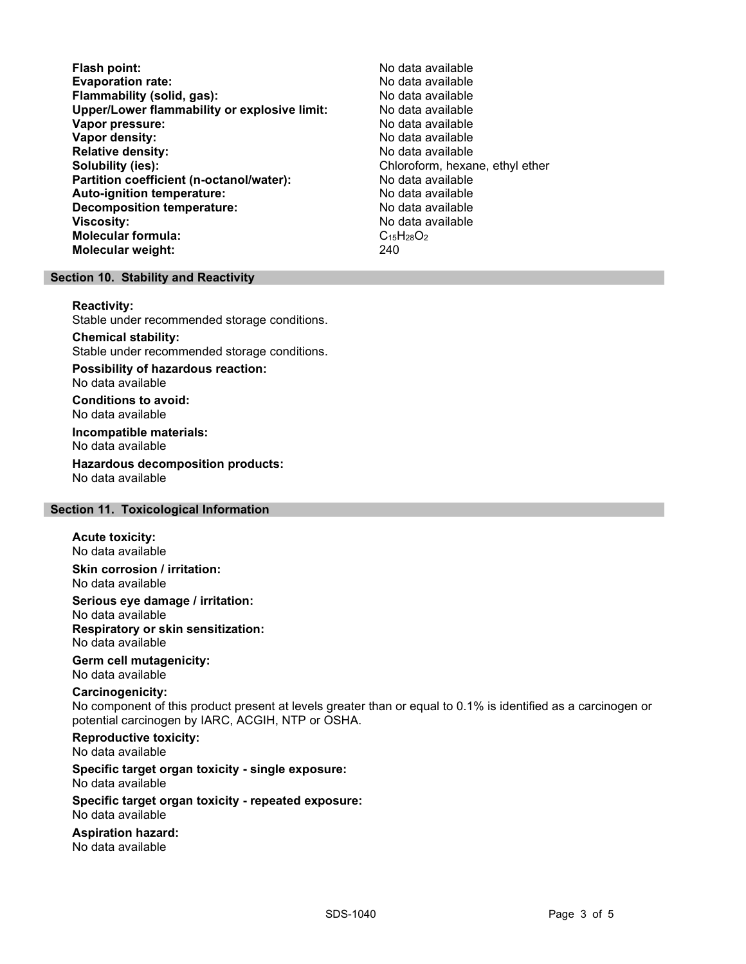- Flash point:<br>
Evaporation rate:<br>
Evaporation rate: No data available Evaporation rate:<br>
Flammability (solid. gas): No data available Flammability (solid, gas): Upper/Lower flammability or explosive limit: No data available Vapor pressure: No data available **Vapor density:** No data available in the set of the set of the No data available Relative density: No data available Solubility (ies): Chloroform, hexane, ethyl ether Partition coefficient (n-octanol/water): No data available Auto-ignition temperature:  $\begin{array}{ccc} \text{Auto-ignition temperature:} & \text{No data available} \end{array}$ Decomposition temperature: **Viscosity:** No data available in the set of the set of the set of the set of the set of the set of the set of the set of the set of the set of the set of the set of the set of the set of the set of the set of the set of t Molecular formula:  $C_{15}H_{28}O_2$ <br>Molecular weight:  $240$ Molecular weight:
	-

## Section 10. Stability and Reactivity

#### Reactivity:

Stable under recommended storage conditions.

#### Chemical stability: Stable under recommended storage conditions.

Possibility of hazardous reaction: No data available

Conditions to avoid: No data available

Incompatible materials: No data available

Hazardous decomposition products: No data available

# Section 11. Toxicological Information

## Acute toxicity:

No data available

Skin corrosion / irritation: No data available

Serious eye damage / irritation: No data available Respiratory or skin sensitization: No data available

# Germ cell mutagenicity:

No data available

# Carcinogenicity:

No component of this product present at levels greater than or equal to 0.1% is identified as a carcinogen or potential carcinogen by IARC, ACGIH, NTP or OSHA.

Reproductive toxicity: No data available

## Specific target organ toxicity - single exposure: No data available

## Specific target organ toxicity - repeated exposure: No data available

Aspiration hazard: No data available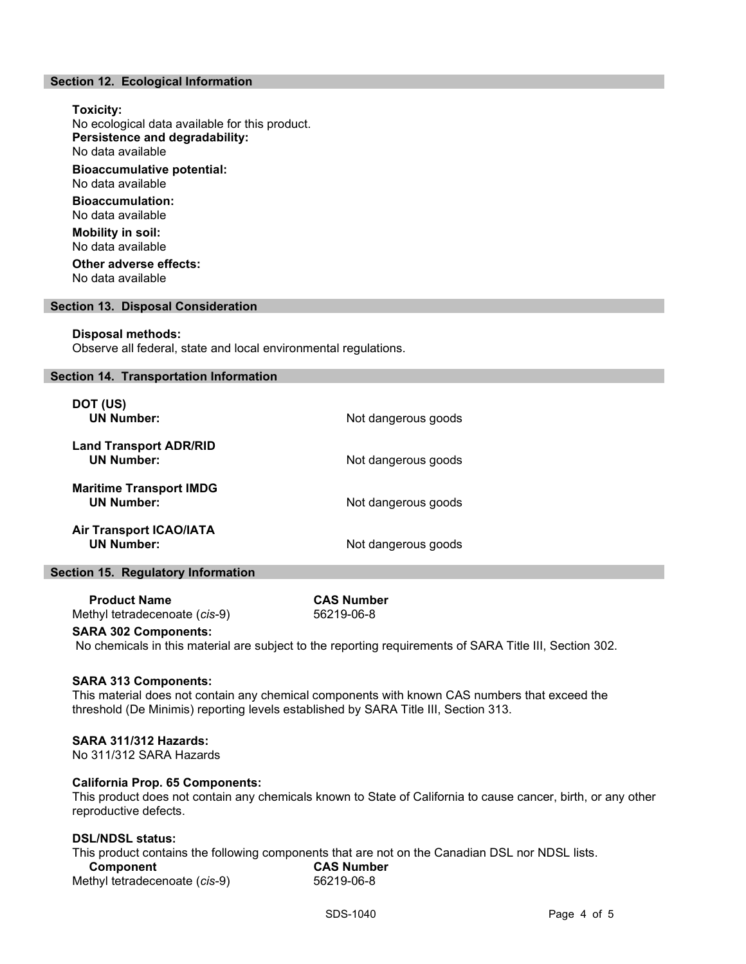## Section 12. Ecological Information

Toxicity: No ecological data available for this product. Persistence and degradability: No data available Bioaccumulative potential: No data available Bioaccumulation: No data available Mobility in soil: No data available Other adverse effects:

No data available

## Section 13. Disposal Consideration

#### Disposal methods:

Observe all federal, state and local environmental regulations.

## Section 14. Transportation Information

| DOT (US)<br><b>UN Number:</b>                       | Not dangerous goods |
|-----------------------------------------------------|---------------------|
| <b>Land Transport ADR/RID</b><br><b>UN Number:</b>  | Not dangerous goods |
| <b>Maritime Transport IMDG</b><br><b>UN Number:</b> | Not dangerous goods |
| <b>Air Transport ICAO/IATA</b><br><b>UN Number:</b> | Not dangerous goods |

## Section 15. Regulatory Information

 Product Name CAS Number Methyl tetradecenoate (cis-9) 56219-06-8

## SARA 302 Components:

No chemicals in this material are subject to the reporting requirements of SARA Title III, Section 302.

## SARA 313 Components:

This material does not contain any chemical components with known CAS numbers that exceed the threshold (De Minimis) reporting levels established by SARA Title III, Section 313.

## SARA 311/312 Hazards:

No 311/312 SARA Hazards

## California Prop. 65 Components:

This product does not contain any chemicals known to State of California to cause cancer, birth, or any other reproductive defects.

## DSL/NDSL status:

This product contains the following components that are not on the Canadian DSL nor NDSL lists. Component CAS Number Methyl tetradecenoate (cis-9) 56219-06-8